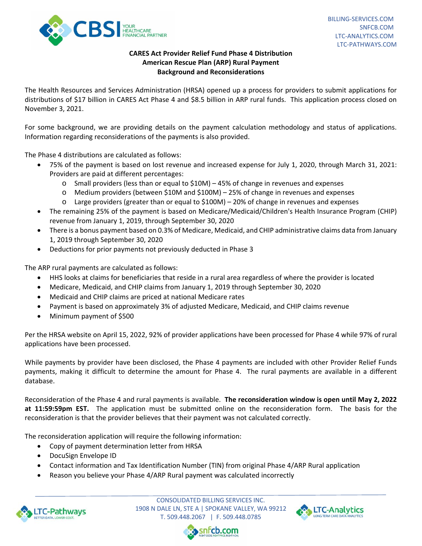

## **CARES Act Provider Relief Fund Phase 4 Distribution American Rescue Plan (ARP) Rural Payment Background and Reconsiderations**

The Health Resources and Services Administration (HRSA) opened up a process for providers to submit applications for distributions of \$17 billion in CARES Act Phase 4 and \$8.5 billion in ARP rural funds. This application process closed on November 3, 2021.

For some background, we are providing details on the payment calculation methodology and status of applications. Information regarding reconsiderations of the payments is also provided.

The Phase 4 distributions are calculated as follows:

- 75% of the payment is based on lost revenue and increased expense for July 1, 2020, through March 31, 2021: Providers are paid at different percentages:
	- $\circ$  Small providers (less than or equal to \$10M) 45% of change in revenues and expenses
	- o Medium providers (between \$10M and \$100M) 25% of change in revenues and expenses
	- o Large providers (greater than or equal to \$100M) 20% of change in revenues and expenses
- The remaining 25% of the payment is based on Medicare/Medicaid/Children's Health Insurance Program (CHIP) revenue from January 1, 2019, through September 30, 2020
- There is a bonus payment based on 0.3% of Medicare, Medicaid, and CHIP administrative claims data from January 1, 2019 through September 30, 2020
- Deductions for prior payments not previously deducted in Phase 3

The ARP rural payments are calculated as follows:

- HHS looks at claims for beneficiaries that reside in a rural area regardless of where the provider is located
- Medicare, Medicaid, and CHIP claims from January 1, 2019 through September 30, 2020
- Medicaid and CHIP claims are priced at national Medicare rates
- Payment is based on approximately 3% of adjusted Medicare, Medicaid, and CHIP claims revenue
- Minimum payment of \$500

Per the HRSA website on April 15, 2022, 92% of provider applications have been processed for Phase 4 while 97% of rural applications have been processed.

While payments by provider have been disclosed, the Phase 4 payments are included with other Provider Relief Funds payments, making it difficult to determine the amount for Phase 4. The rural payments are available in a different database.

Reconsideration of the Phase 4 and rural payments is available. **The reconsideration window is open until May 2, 2022**  at 11:59:59pm EST. The application must be submitted online on the reconsideration form. The basis for the reconsideration is that the provider believes that their payment was not calculated correctly.

The reconsideration application will require the following information:

- Copy of payment determination letter from HRSA
- DocuSign Envelope ID
- Contact information and Tax Identification Number (TIN) from original Phase 4/ARP Rural application
- Reason you believe your Phase 4/ARP Rural payment was calculated incorrectly



CONSOLIDATED BILLING SERVICES INC. 1908 N DALE LN, STE A | SPOKANE VALLEY, WA 99212 T. 509.448.2067 | F. 509.448.0785